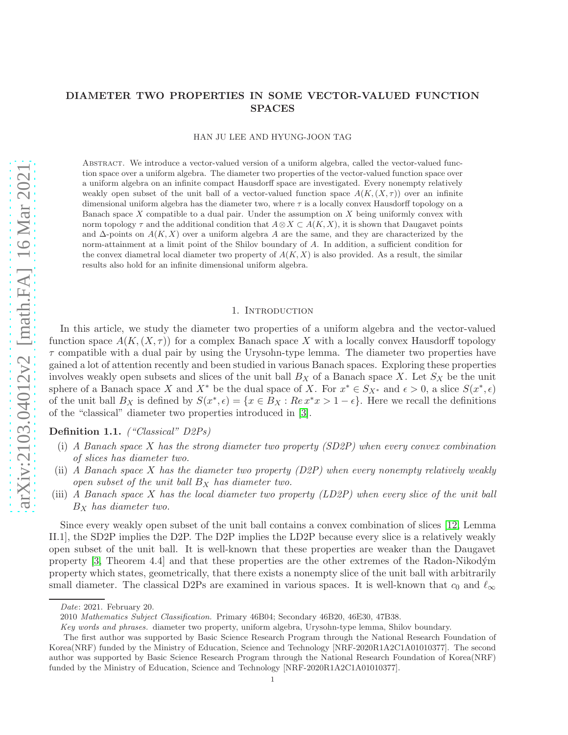# DIAMETER TWO PROPERTIES IN SOME VECTOR-VALUED FUNCTION SPACES

HAN JU LEE AND HYUNG-JOON TAG

ABSTRACT. We introduce a vector-valued version of a uniform algebra, called the vector-valued function space over a uniform algebra. The diameter two properties of the vector-valued function space over a uniform algebra on an infinite compact Hausdorff space are investigated. Every nonempty relatively weakly open subset of the unit ball of a vector-valued function space  $A(K,(X,\tau))$  over an infinite dimensional uniform algebra has the diameter two, where  $\tau$  is a locally convex Hausdorff topology on a Banach space  $X$  compatible to a dual pair. Under the assumption on  $X$  being uniformly convex with norm topology  $\tau$  and the additional condition that  $A \otimes X \subset A(K, X)$ , it is shown that Daugavet points and  $\Delta$ -points on  $A(K, X)$  over a uniform algebra A are the same, and they are characterized by the norm-attainment at a limit point of the Shilov boundary of A. In addition, a sufficient condition for the convex diametral local diameter two property of  $A(K, X)$  is also provided. As a result, the similar results also hold for an infinite dimensional uniform algebra.

#### 1. INTRODUCTION

In this article, we study the diameter two properties of a uniform algebra and the vector-valued function space  $A(K,(X,\tau))$  for a complex Banach space X with a locally convex Hausdorff topology  $\tau$  compatible with a dual pair by using the Urysohn-type lemma. The diameter two properties have gained a lot of attention recently and been studied in various Banach spaces. Exploring these properties involves weakly open subsets and slices of the unit ball  $B_X$  of a Banach space X. Let  $S_X$  be the unit sphere of a Banach space X and  $X^*$  be the dual space of X. For  $x^* \in S_{X^*}$  and  $\epsilon > 0$ , a slice  $S(x^*, \epsilon)$ of the unit ball  $B_X$  is defined by  $S(x^*, \epsilon) = \{x \in B_X : Re\, x^*x > 1 - \epsilon\}.$  Here we recall the definitions of the "classical" diameter two properties introduced in [\[3\]](#page-14-0).

Definition 1.1. *("Classical" D2Ps)* 

- (i) A Banach space X has the strong diameter two property (SD2P) when every convex combination of slices has diameter two.
- (ii) A Banach space X has the diameter two property  $(D2P)$  when every nonempty relatively weakly open subset of the unit ball  $B_X$  has diameter two.
- (iii) A Banach space X has the local diameter two property (LD2P) when every slice of the unit ball  $B_X$  has diameter two.

Since every weakly open subset of the unit ball contains a convex combination of slices [\[12,](#page-15-0) Lemma II.1], the SD2P implies the D2P. The D2P implies the LD2P because every slice is a relatively weakly open subset of the unit ball. It is well-known that these properties are weaker than the Daugavet property [\[3,](#page-14-0) Theorem 4.4] and that these properties are the other extremes of the Radon-Nikod´ym property which states, geometrically, that there exists a nonempty slice of the unit ball with arbitrarily small diameter. The classical D2Ps are examined in various spaces. It is well-known that  $c_0$  and  $\ell_{\infty}$ 

Date: 2021. February 20.

<sup>2010</sup> Mathematics Subject Classification. Primary 46B04; Secondary 46B20, 46E30, 47B38.

Key words and phrases. diameter two property, uniform algebra, Urysohn-type lemma, Shilov boundary.

The first author was supported by Basic Science Research Program through the National Research Foundation of Korea(NRF) funded by the Ministry of Education, Science and Technology [NRF-2020R1A2C1A01010377]. The second author was supported by Basic Science Research Program through the National Research Foundation of Korea(NRF) funded by the Ministry of Education, Science and Technology [NRF-2020R1A2C1A01010377].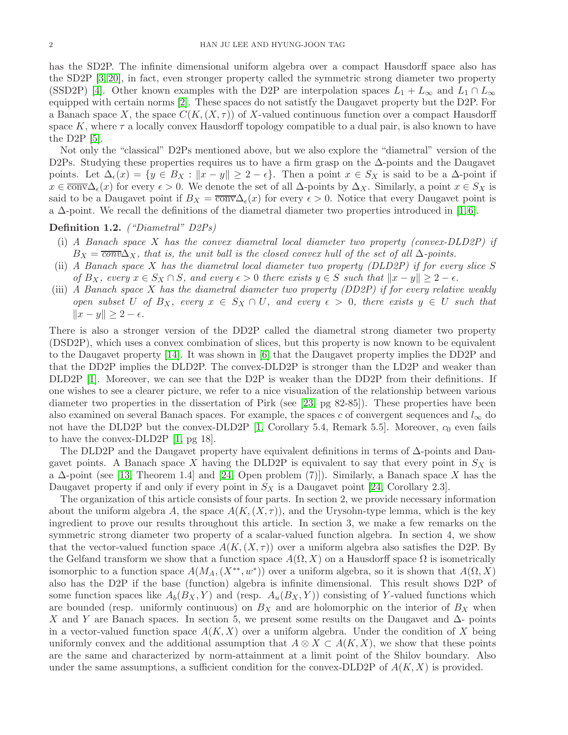has the SD2P. The infinite dimensional uniform algebra over a compact Hausdorff space also has the SD2P [\[3,](#page-14-0) [20\]](#page-15-1), in fact, even stronger property called the symmetric strong diameter two property (SSD2P) [\[4\]](#page-14-1). Other known examples with the D2P are interpolation spaces  $L_1 + L_\infty$  and  $L_1 \cap L_\infty$ equipped with certain norms [\[2\]](#page-14-2). These spaces do not satistfy the Daugavet property but the D2P. For a Banach space X, the space  $C(K,(X,\tau))$  of X-valued continuous function over a compact Hausdorff space K, where  $\tau$  a locally convex Hausdorff topology compatible to a dual pair, is also known to have the D2P [\[5\]](#page-14-3).

Not only the "classical" D2Ps mentioned above, but we also explore the "diametral" version of the D2Ps. Studying these properties requires us to have a firm grasp on the ∆-points and the Daugavet points. Let  $\Delta_{\epsilon}(x) = \{y \in B_X : ||x - y|| \geq 2 - \epsilon\}.$  Then a point  $x \in S_X$  is said to be a  $\Delta$ -point if  $x \in \overline{\text{conv}}\Delta_{\epsilon}(x)$  for every  $\epsilon > 0$ . We denote the set of all  $\Delta$ -points by  $\Delta_X$ . Similarly, a point  $x \in S_X$  is said to be a Daugavet point if  $B_X = \overline{\text{conv}}\Delta_{\epsilon}(x)$  for every  $\epsilon > 0$ . Notice that every Daugavet point is a  $\Delta$ -point. We recall the definitions of the diametral diameter two properties introduced in [\[1,](#page-14-4)6].

## Definition 1.2. *("Diametral" D2Ps)*

- (i) A Banach space X has the convex diametral local diameter two property (convex-DLD2P) if  $B_X = \overline{conv} \Delta_X$ , that is, the unit ball is the closed convex hull of the set of all  $\Delta$ -points.
- (ii) A Banach space X has the diametral local diameter two property (DLD2P) if for every slice S of  $B_X$ , every  $x \in S_X \cap S$ , and every  $\epsilon > 0$  there exists  $y \in S$  such that  $||x - y|| \geq 2 - \epsilon$ .
- (iii) A Banach space X has the diametral diameter two property (DD2P) if for every relative weakly open subset U of  $B_X$ , every  $x \in S_X \cap U$ , and every  $\epsilon > 0$ , there exists  $y \in U$  such that  $||x - y|| \geq 2 - \epsilon.$

There is also a stronger version of the DD2P called the diametral strong diameter two property (DSD2P), which uses a convex combination of slices, but this property is now known to be equivalent to the Daugavet property [\[14\]](#page-15-2). It was shown in [\[6\]](#page-14-5) that the Daugavet property implies the DD2P and that the DD2P implies the DLD2P. The convex-DLD2P is stronger than the LD2P and weaker than DLD2P [\[1\]](#page-14-4). Moreover, we can see that the D2P is weaker than the DD2P from their definitions. If one wishes to see a clearer picture, we refer to a nice visualization of the relationship between various diameter two properties in the dissertation of Pirk (see [\[23,](#page-15-3) pg 82-85]). These properties have been also examined on several Banach spaces. For example, the spaces c of convergent sequences and  $l_{\infty}$  do not have the DLD2P but the convex-DLD2P  $[1,$  Corollary 5.4, Remark 5.5. Moreover,  $c_0$  even fails to have the convex-DLD2P [\[1,](#page-14-4) pg 18].

The DLD2P and the Daugavet property have equivalent definitions in terms of ∆-points and Daugavet points. A Banach space X having the DLD2P is equivalent to say that every point in  $S_X$  is a  $\Delta$ -point (see [\[13,](#page-15-4) Theorem 1.4] and [\[24,](#page-15-5) Open problem (7)]). Similarly, a Banach space X has the Daugavet property if and only if every point in  $S_X$  is a Daugavet point [\[24,](#page-15-5) Corollary 2.3].

The organization of this article consists of four parts. In section 2, we provide necessary information about the uniform algebra A, the space  $A(K,(X,\tau))$ , and the Urysohn-type lemma, which is the key ingredient to prove our results throughout this article. In section 3, we make a few remarks on the symmetric strong diameter two property of a scalar-valued function algebra. In section 4, we show that the vector-valued function space  $A(K,(X,\tau))$  over a uniform algebra also satisfies the D2P. By the Gelfand transform we show that a function space  $A(\Omega, X)$  on a Hausdorff space  $\Omega$  is isometrically isomorphic to a function space  $A(M_A, (X^{**}, w^*))$  over a uniform algebra, so it is shown that  $A(\Omega, X)$ also has the D2P if the base (function) algebra is infinite dimensional. This result shows D2P of some function spaces like  $A_b(B_X, Y)$  and (resp.  $A_u(B_X, Y)$ ) consisting of Y-valued functions which are bounded (resp. uniformly continuous) on  $B_X$  and are holomorphic on the interior of  $B_X$  when X and Y are Banach spaces. In section 5, we present some results on the Daugavet and  $\Delta$ - points in a vector-valued function space  $A(K, X)$  over a uniform algebra. Under the condition of X being uniformly convex and the additional assumption that  $A \otimes X \subset A(K, X)$ , we show that these points are the same and characterized by norm-attainment at a limit point of the Shilov boundary. Also under the same assumptions, a sufficient condition for the convex-DLD2P of  $A(K, X)$  is provided.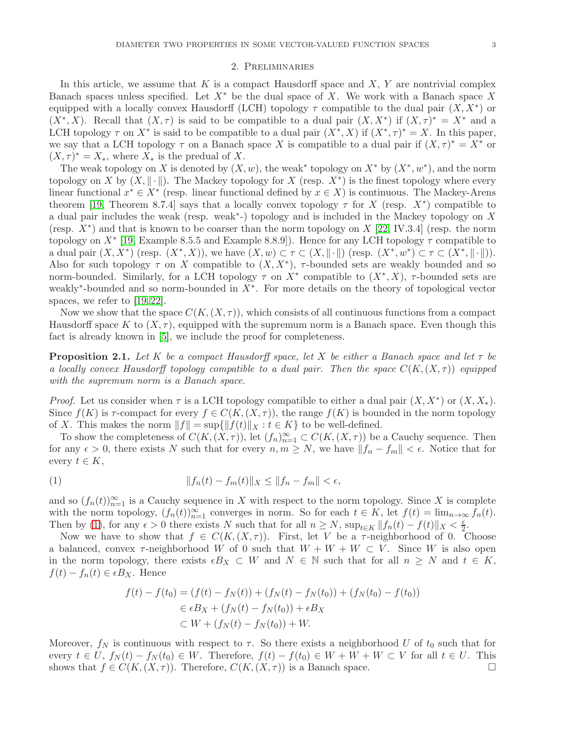#### 2. Preliminaries

In this article, we assume that K is a compact Hausdorff space and  $X, Y$  are nontrivial complex Banach spaces unless specified. Let  $X^*$  be the dual space of X. We work with a Banach space X equipped with a locally convex Hausdorff (LCH) topology  $\tau$  compatible to the dual pair  $(X, X^*)$  or  $(X^*, X)$ . Recall that  $(X, \tau)$  is said to be compatible to a dual pair  $(X, X^*)$  if  $(X, \tau)^* = X^*$  and a LCH topology  $\tau$  on  $X^*$  is said to be compatible to a dual pair  $(X^*, X)$  if  $(X^*, \tau)^* = X$ . In this paper, we say that a LCH topology  $\tau$  on a Banach space X is compatible to a dual pair if  $(X, \tau)^* = X^*$  or  $(X, \tau)^* = X_*$ , where  $X_*$  is the predual of X.

The weak topology on X is denoted by  $(X, w)$ , the weak<sup>\*</sup> topology on  $X^*$  by  $(X^*, w^*)$ , and the norm topology on X by  $(X, \|\cdot\|)$ . The Mackey topology for X (resp.  $X^*$ ) is the finest topology where every linear functional  $x^* \in X^*$  (resp. linear functional defined by  $x \in X$ ) is continuous. The Mackey-Arens theorem [\[19,](#page-15-6) Theorem 8.7.4] says that a locally convex topology  $\tau$  for X (resp.  $X^*$ ) compatible to a dual pair includes the weak (resp. weak<sup>\*</sup>-) topology and is included in the Mackey topology on X (resp.  $X^*$ ) and that is known to be coarser than the norm topology on  $X$  [\[22,](#page-15-7) IV.3.4] (resp. the norm topology on  $X^*$  [\[19,](#page-15-6) Example 8.5.5 and Example 8.8.9]). Hence for any LCH topology  $\tau$  compatible to a dual pair  $(X, X^*)$  (resp.  $(X^*, X)$ ), we have  $(X, w) \subset \tau \subset (X, \|\cdot\|)$  (resp.  $(X^*, w^*) \subset \tau \subset (X^*, \|\cdot\|)$ ). Also for such topology  $\tau$  on X compatible to  $(X, X^*)$ ,  $\tau$ -bounded sets are weakly bounded and so norm-bounded. Similarly, for a LCH topology  $\tau$  on  $X^*$  compatible to  $(X^*, X)$ ,  $\tau$ -bounded sets are weakly<sup>\*</sup>-bounded and so norm-bounded in  $X^*$ . For more details on the theory of topological vector spaces, we refer to [\[19,](#page-15-6) [22\]](#page-15-7).

Now we show that the space  $C(K, (X, \tau))$ , which consists of all continuous functions from a compact Hausdorff space K to  $(X, \tau)$ , equipped with the supremum norm is a Banach space. Even though this fact is already known in [\[5\]](#page-14-3), we include the proof for completeness.

**Proposition 2.1.** Let K be a compact Hausdorff space, let X be either a Banach space and let  $\tau$  be a locally convex Hausdorff topology compatible to a dual pair. Then the space  $C(K,(X,\tau))$  equipped with the supremum norm is a Banach space.

*Proof.* Let us consider when  $\tau$  is a LCH topology compatible to either a dual pair  $(X, X^*)$  or  $(X, X_*)$ . Since  $f(K)$  is  $\tau$ -compact for every  $f \in C(K, (X, \tau))$ , the range  $f(K)$  is bounded in the norm topology of X. This makes the norm  $||f|| = \sup{||f(t)||_X : t \in K}$  to be well-defined.

To show the completeness of  $C(K, (X, \tau))$ , let  $(f_n)_{n=1}^{\infty} \subset C(K, (X, \tau))$  be a Cauchy sequence. Then for any  $\epsilon > 0$ , there exists N such that for every  $n, m \geq N$ , we have  $||f_n - f_m|| < \epsilon$ . Notice that for every  $t \in K$ ,

(1) 
$$
||f_n(t) - f_m(t)||_X \le ||f_n - f_m|| < \epsilon,
$$

and so  $(f_n(t))_{n=1}^{\infty}$  is a Cauchy sequence in X with respect to the norm topology. Since X is complete with the norm topology,  $(f_n(t))_{n=1}^{\infty}$  converges in norm. So for each  $t \in K$ , let  $f(t) = \lim_{n \to \infty} f_n(t)$ . Then by [\(1\)](#page-2-0), for any  $\epsilon > 0$  there exists N such that for all  $n \ge N$ ,  $\sup_{t \in K} ||f_n(t) - f(t)||_X < \frac{\epsilon}{2}$  $rac{\epsilon}{2}$ .

Now we have to show that  $f \in C(K, (X, \tau))$ . First, let V be a  $\tau$ -neighborhood of 0. Choose a balanced, convex  $\tau$ -neighborhood W of 0 such that  $W + W + W \subset V$ . Since W is also open in the norm topology, there exists  $\epsilon B_X \subset W$  and  $N \in \mathbb{N}$  such that for all  $n \geq N$  and  $t \in K$ ,  $f(t) - f_n(t) \in \epsilon B_X$ . Hence

<span id="page-2-0"></span>
$$
f(t) - f(t_0) = (f(t) - f_N(t)) + (f_N(t) - f_N(t_0)) + (f_N(t_0) - f(t_0))
$$
  
\n
$$
\in \epsilon B_X + (f_N(t) - f_N(t_0)) + \epsilon B_X
$$
  
\n
$$
\subset W + (f_N(t) - f_N(t_0)) + W.
$$

Moreover,  $f_N$  is continuous with respect to  $\tau$ . So there exists a neighborhood U of  $t_0$  such that for every  $t \in U$ ,  $f_N(t) - f_N(t_0) \in W$ . Therefore,  $f(t) - f(t_0) \in W + W + W \subset V$  for all  $t \in U$ . This shows that  $f \in C(K, (X, \tau))$ . Therefore,  $C(K, (X, \tau))$  is a Banach space.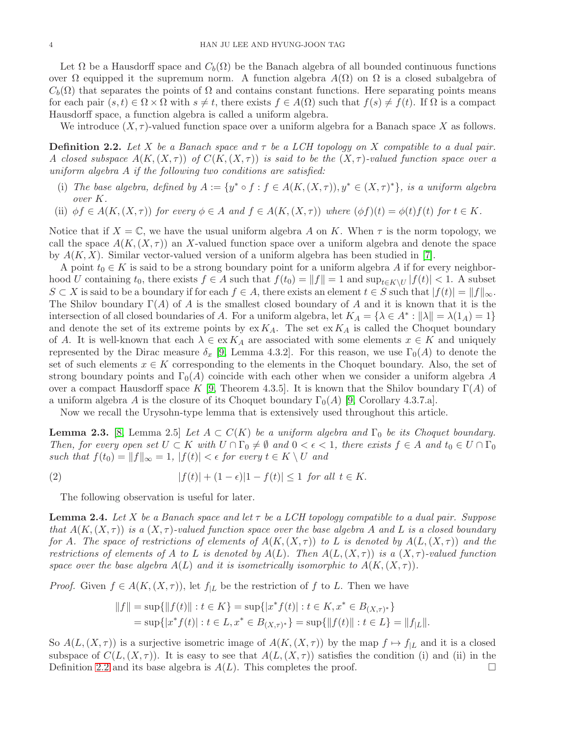Let  $\Omega$  be a Hausdorff space and  $C_b(\Omega)$  be the Banach algebra of all bounded continuous functions over  $\Omega$  equipped it the supremum norm. A function algebra  $A(\Omega)$  on  $\Omega$  is a closed subalgebra of  $C_b(\Omega)$  that separates the points of  $\Omega$  and contains constant functions. Here separating points means for each pair  $(s, t) \in \Omega \times \Omega$  with  $s \neq t$ , there exists  $f \in A(\Omega)$  such that  $f(s) \neq f(t)$ . If  $\Omega$  is a compact Hausdorff space, a function algebra is called a uniform algebra.

We introduce  $(X, \tau)$ -valued function space over a uniform algebra for a Banach space X as follows.

<span id="page-3-0"></span>**Definition 2.2.** Let X be a Banach space and  $\tau$  be a LCH topology on X compatible to a dual pair. A closed subspace  $A(K,(X,\tau))$  of  $C(K,(X,\tau))$  is said to be the  $(X,\tau)$ -valued function space over a uniform algebra A if the following two conditions are satisfied:

- (i) The base algebra, defined by  $A := \{y^* \circ f : f \in A(K, (X, \tau)), y^* \in (X, \tau)^*\},\$ is a uniform algebra over K.
- (ii)  $\phi f \in A(K, (X, \tau))$  for every  $\phi \in A$  and  $f \in A(K, (X, \tau))$  where  $(\phi f)(t) = \phi(t)f(t)$  for  $t \in K$ .

Notice that if  $X = \mathbb{C}$ , we have the usual uniform algebra A on K. When  $\tau$  is the norm topology, we call the space  $A(K,(X,\tau))$  an X-valued function space over a uniform algebra and denote the space by  $A(K, X)$ . Similar vector-valued version of a uniform algebra has been studied in [\[7\]](#page-14-6).

A point  $t_0 \in K$  is said to be a strong boundary point for a uniform algebra A if for every neighborhood U containing  $t_0$ , there exists  $f \in A$  such that  $f(t_0) = ||f|| = 1$  and  $\sup_{t \in K \setminus U} |f(t)| < 1$ . A subset  $S \subset X$  is said to be a boundary if for each  $f \in A$ , there exists an element  $t \in S$  such that  $|f(t)| = ||f||_{\infty}$ . The Shilov boundary  $\Gamma(A)$  of A is the smallest closed boundary of A and it is known that it is the intersection of all closed boundaries of A. For a uniform algebra, let  $K_A = \{ \lambda \in A^* : ||\lambda|| = \lambda(1_A) = 1 \}$ and denote the set of its extreme points by  $ex K_A$ . The set  $ex K_A$  is called the Choquet boundary of A. It is well-known that each  $\lambda \in \text{ex}\, K_A$  are associated with some elements  $x \in K$  and uniquely represented by the Dirac measure  $\delta_x$  [\[9,](#page-14-7) Lemma 4.3.2]. For this reason, we use  $\Gamma_0(A)$  to denote the set of such elements  $x \in K$  corresponding to the elements in the Choquet boundary. Also, the set of strong boundary points and  $\Gamma_0(A)$  coincide with each other when we consider a uniform algebra A over a compact Hausdorff space K [\[9,](#page-14-7) Theorem 4.3.5]. It is known that the Shilov boundary  $\Gamma(A)$  of a uniform algebra A is the closure of its Choquet boundary  $\Gamma_0(A)$  [\[9,](#page-14-7) Corollary 4.3.7.a].

Now we recall the Urysohn-type lemma that is extensively used throughout this article.

<span id="page-3-2"></span>**Lemma 2.3.** [\[8,](#page-14-8) Lemma 2.5] Let  $A \subset C(K)$  be a uniform algebra and  $\Gamma_0$  be its Choquet boundary. Then, for every open set  $U \subset K$  with  $U \cap \Gamma_0 \neq \emptyset$  and  $0 < \epsilon < 1$ , there exists  $f \in A$  and  $t_0 \in U \cap \Gamma_0$ such that  $f(t_0) = ||f||_{\infty} = 1$ ,  $|f(t)| < \epsilon$  for every  $t \in K \setminus U$  and

$$
(2) \t\t |f(t)| + (1 - \epsilon)|1 - f(t)| \le 1 \t \text{ for all } t \in K.
$$

The following observation is useful for later.

<span id="page-3-1"></span>**Lemma 2.4.** Let X be a Banach space and let  $\tau$  be a LCH topology compatible to a dual pair. Suppose that  $A(K,(X,\tau))$  is a  $(X,\tau)$ -valued function space over the base algebra A and L is a closed boundary for A. The space of restrictions of elements of  $A(K,(X,\tau))$  to L is denoted by  $A(L,(X,\tau))$  and the restrictions of elements of A to L is denoted by  $A(L)$ . Then  $A(L,(X,\tau))$  is a  $(X,\tau)$ -valued function space over the base algebra  $A(L)$  and it is isometrically isomorphic to  $A(K,(X,\tau))$ .

*Proof.* Given  $f \in A(K, (X, \tau))$ , let  $f_{|L}$  be the restriction of f to L. Then we have

$$
||f|| = \sup{||f(t)|| : t \in K} = \sup{||x^*f(t)| : t \in K, x^* \in B_{(X,\tau)^*} \}
$$
  
= 
$$
\sup{||x^*f(t)| : t \in L, x^* \in B_{(X,\tau)^*} \} = \sup{||f(t)|| : t \in L} = ||f_L||.
$$

So  $A(L,(X,\tau))$  is a surjective isometric image of  $A(K,(X,\tau))$  by the map  $f \mapsto f_{|L}$  and it is a closed subspace of  $C(L,(X,\tau))$ . It is easy to see that  $A(L,(X,\tau))$  satisfies the condition (i) and (ii) in the Definition [2.2](#page-3-0) and its base algebra is  $A(L)$ . This completes the proof.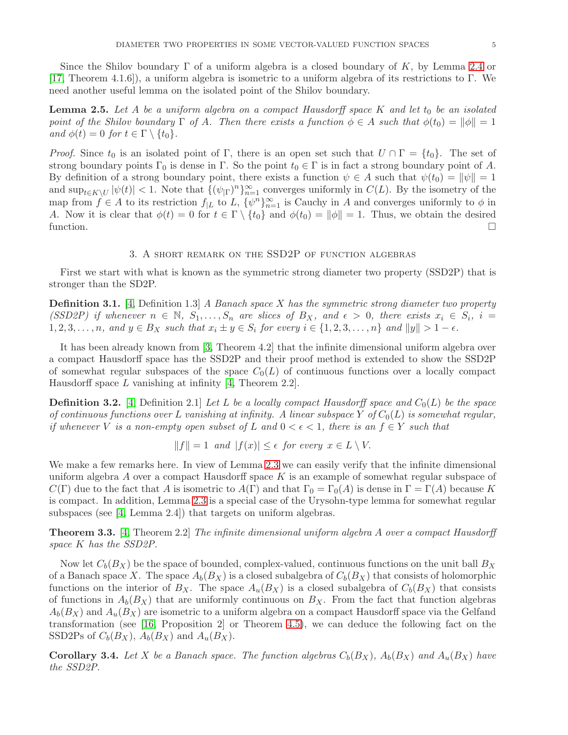Since the Shilov boundary  $\Gamma$  of a uniform algebra is a closed boundary of K, by Lemma [2.4](#page-3-1) or [\[17,](#page-15-8) Theorem 4.1.6]), a uniform algebra is isometric to a uniform algebra of its restrictions to Γ. We need another useful lemma on the isolated point of the Shilov boundary.

<span id="page-4-0"></span>**Lemma 2.5.** Let A be a uniform algebra on a compact Hausdorff space K and let  $t_0$  be an isolated point of the Shilov boundary  $\Gamma$  of A. Then there exists a function  $\phi \in A$  such that  $\phi(t_0) = ||\phi|| = 1$ and  $\phi(t) = 0$  for  $t \in \Gamma \setminus \{t_0\}.$ 

*Proof.* Since  $t_0$  is an isolated point of Γ, there is an open set such that  $U \cap \Gamma = \{t_0\}$ . The set of strong boundary points  $\Gamma_0$  is dense in  $\Gamma$ . So the point  $t_0 \in \Gamma$  is in fact a strong boundary point of A. By definition of a strong boundary point, there exists a function  $\psi \in A$  such that  $\psi(t_0) = ||\psi|| = 1$ and  $\sup_{t\in K\setminus U}|\psi(t)| < 1$ . Note that  $\{(\psi_{|\Gamma})^n\}_{n=1}^{\infty}$  converges uniformly in  $C(L)$ . By the isometry of the map from  $f \in A$  to its restriction  $f_{|L}$  to  $L$ ,  $\{\psi^n\}_{n=1}^{\infty}$  is Cauchy in A and converges uniformly to  $\phi$  in A. Now it is clear that  $\phi(t) = 0$  for  $t \in \Gamma \setminus \{t_0\}$  and  $\phi(t_0) = ||\phi|| = 1$ . Thus, we obtain the desired function.  $\Box$ 

#### 3. A short remark on the SSD2P of function algebras

First we start with what is known as the symmetric strong diameter two property (SSD2P) that is stronger than the SD2P.

**Definition 3.1.** [\[4,](#page-14-1) Definition 1.3] A Banach space X has the symmetric strong diameter two property (SSD2P) if whenever  $n \in \mathbb{N}$ ,  $S_1, \ldots, S_n$  are slices of  $B_X$ , and  $\epsilon > 0$ , there exists  $x_i \in S_i$ ,  $i =$  $1, 2, 3, \ldots, n$ , and  $y \in B_X$  such that  $x_i \pm y \in S_i$  for every  $i \in \{1, 2, 3, \ldots, n\}$  and  $||y|| > 1 - \epsilon$ .

It has been already known from [\[3,](#page-14-0) Theorem 4.2] that the infinite dimensional uniform algebra over a compact Hausdorff space has the SSD2P and their proof method is extended to show the SSD2P of somewhat regular subspaces of the space  $C_0(L)$  of continuous functions over a locally compact Hausdorff space  $L$  vanishing at infinity [\[4,](#page-14-1) Theorem 2.2].

**Definition 3.2.** [\[4,](#page-14-1) Definition 2.1] Let L be a locally compact Hausdorff space and  $C_0(L)$  be the space of continuous functions over L vanishing at infinity. A linear subspace Y of  $C_0(L)$  is somewhat regular, if whenever V is a non-empty open subset of L and  $0 < \epsilon < 1$ , there is an  $f \in Y$  such that

$$
||f|| = 1
$$
 and  $|f(x)| \le \epsilon$  for every  $x \in L \setminus V$ .

We make a few remarks here. In view of Lemma [2.3](#page-3-2) we can easily verify that the infinite dimensional uniform algebra A over a compact Hausdorff space  $K$  is an example of somewhat regular subspace of  $C(\Gamma)$  due to the fact that A is isometric to  $A(\Gamma)$  and that  $\Gamma_0 = \Gamma_0(A)$  is dense in  $\Gamma = \Gamma(A)$  because K is compact. In addition, Lemma [2.3](#page-3-2) is a special case of the Urysohn-type lemma for somewhat regular subspaces (see [\[4,](#page-14-1) Lemma 2.4]) that targets on uniform algebras.

**Theorem 3.3.** [\[4,](#page-14-1) Theorem 2.2] The infinite dimensional uniform algebra A over a compact Hausdorff space K has the SSD2P.

Now let  $C_b(B_X)$  be the space of bounded, complex-valued, continuous functions on the unit ball  $B_X$ of a Banach space X. The space  $A_b(B_X)$  is a closed subalgebra of  $C_b(B_X)$  that consists of holomorphic functions on the interior of  $B_X$ . The space  $A_u(B_X)$  is a closed subalgebra of  $C_b(B_X)$  that consists of functions in  $A_b(B_X)$  that are uniformly continuous on  $B_X$ . From the fact that function algebras  $A_b(B_X)$  and  $A_u(B_X)$  are isometric to a uniform algebra on a compact Hausdorff space via the Gelfand transformation (see [\[16,](#page-15-9) Proposition 2] or Theorem [4.5\)](#page-7-0), we can deduce the following fact on the SSD2Ps of  $C_b(B_X)$ ,  $A_b(B_X)$  and  $A_u(B_X)$ .

**Corollary 3.4.** Let X be a Banach space. The function algebras  $C_b(B_X)$ ,  $A_b(B_X)$  and  $A_u(B_X)$  have the SSD2P.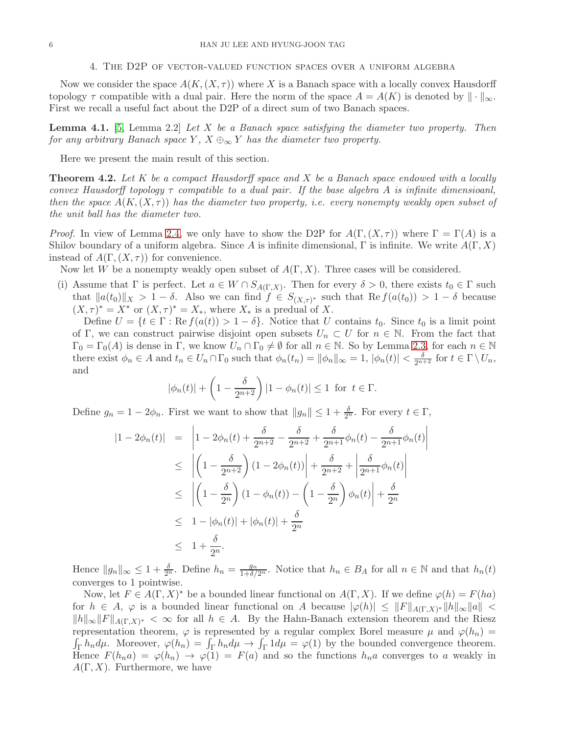#### 4. The D2P of vector-valued function spaces over a uniform algebra

Now we consider the space  $A(K,(X,\tau))$  where X is a Banach space with a locally convex Hausdorff topology  $\tau$  compatible with a dual pair. Here the norm of the space  $A = A(K)$  is denoted by  $\|\cdot\|_{\infty}$ . First we recall a useful fact about the D2P of a direct sum of two Banach spaces.

<span id="page-5-0"></span>**Lemma 4.1.** [\[5,](#page-14-3) Lemma 2.2] Let X be a Banach space satisfying the diameter two property. Then for any arbitrary Banach space Y,  $X \oplus_{\infty} Y$  has the diameter two property.

Here we present the main result of this section.

<span id="page-5-1"></span>**Theorem 4.2.** Let K be a compact Hausdorff space and X be a Banach space endowed with a locally convex Hausdorff topology  $\tau$  compatible to a dual pair. If the base algebra A is infinite dimensioanl, then the space  $A(K,(X,\tau))$  has the diameter two property, i.e. every nonempty weakly open subset of the unit ball has the diameter two.

*Proof.* In view of Lemma [2.4,](#page-3-1) we only have to show the D2P for  $A(\Gamma,(X,\tau))$  where  $\Gamma = \Gamma(A)$  is a Shilov boundary of a uniform algebra. Since A is infinite dimensional,  $\Gamma$  is infinite. We write  $A(\Gamma, X)$ instead of  $A(\Gamma,(X,\tau))$  for convenience.

Now let W be a nonempty weakly open subset of  $A(\Gamma, X)$ . Three cases will be considered.

(i) Assume that  $\Gamma$  is perfect. Let  $a \in W \cap S_{A(\Gamma,X)}$ . Then for every  $\delta > 0$ , there exists  $t_0 \in \Gamma$  such that  $||a(t_0)||_X > 1 - \delta$ . Also we can find  $f \in S_{(X,\tau)^*}$  such that  $\text{Re } f(a(t_0)) > 1 - \delta$  because  $(X,\tau)^* = X^*$  or  $(X,\tau)^* = X_*$ , where  $X_*$  is a predual of X.

Define  $U = \{t \in \Gamma : \text{Re } f(a(t)) > 1 - \delta\}$ . Notice that U contains  $t_0$ . Since  $t_0$  is a limit point of Γ, we can construct pairwise disjoint open subsets  $U_n \subset U$  for  $n \in \mathbb{N}$ . From the fact that  $\Gamma_0 = \Gamma_0(A)$  is dense in  $\Gamma$ , we know  $U_n \cap \Gamma_0 \neq \emptyset$  for all  $n \in \mathbb{N}$ . So by Lemma [2.3,](#page-3-2) for each  $n \in \mathbb{N}$ there exist  $\phi_n \in A$  and  $t_n \in U_n \cap \Gamma_0$  such that  $\phi_n(t_n) = ||\phi_n||_{\infty} = 1$ ,  $|\phi_n(t)| < \frac{\delta}{2^{n+2}}$  for  $t \in \Gamma \setminus U_n$ , and

$$
|\phi_n(t)| + \left(1 - \frac{\delta}{2^{n+2}}\right)|1 - \phi_n(t)| \le 1 \text{ for } t \in \Gamma.
$$

Define  $g_n = 1 - 2\phi_n$ . First we want to show that  $||g_n|| \leq 1 + \frac{\delta}{2^n}$ . For every  $t \in \Gamma$ ,

$$
|1 - 2\phi_n(t)| = \left| 1 - 2\phi_n(t) + \frac{\delta}{2^{n+2}} - \frac{\delta}{2^{n+2}} + \frac{\delta}{2^{n+1}}\phi_n(t) - \frac{\delta}{2^{n+1}}\phi_n(t) \right|
$$
  
\n
$$
\leq \left| \left( 1 - \frac{\delta}{2^{n+2}} \right) (1 - 2\phi_n(t)) \right| + \frac{\delta}{2^{n+2}} + \left| \frac{\delta}{2^{n+1}}\phi_n(t) \right|
$$
  
\n
$$
\leq \left| \left( 1 - \frac{\delta}{2^n} \right) (1 - \phi_n(t)) - \left( 1 - \frac{\delta}{2^n} \right) \phi_n(t) \right| + \frac{\delta}{2^n}
$$
  
\n
$$
\leq 1 - |\phi_n(t)| + |\phi_n(t)| + \frac{\delta}{2^n}
$$
  
\n
$$
\leq 1 + \frac{\delta}{2^n}.
$$

Hence  $||g_n||_{\infty} \leq 1 + \frac{\delta}{2^n}$ . Define  $h_n = \frac{g_n}{1+\delta/2^n}$ . Notice that  $h_n \in B_A$  for all  $n \in \mathbb{N}$  and that  $h_n(t)$ converges to 1 pointwise.

Now, let  $F \in A(\Gamma, X)^*$  be a bounded linear functional on  $A(\Gamma, X)$ . If we define  $\varphi(h) = F(ha)$ for  $h \in A$ ,  $\varphi$  is a bounded linear functional on A because  $|\varphi(h)| \leq ||F||_{A(\Gamma,X)^*} ||h||_{\infty} ||a|| <$  $||h||_{\infty}||F||_{A(\Gamma,X)^*} < \infty$  for all  $h \in A$ . By the Hahn-Banach extension theorem and the Riesz representation theorem,  $\varphi$  is represented by a regular complex Borel measure  $\mu$  and  $\varphi(h_n) =$  $\underline{\int_{\Gamma} h_n d\mu}$ . Moreover,  $\varphi(h_n) = \int_{\Gamma} h_n d\mu \rightarrow \int_{\Gamma} 1 d\mu = \varphi(1)$  by the bounded convergence theorem. Hence  $F(h_na) = \varphi(h_n) \to \varphi(1) = F(a)$  and so the functions  $h_na$  converges to a weakly in  $A(\Gamma, X)$ . Furthermore, we have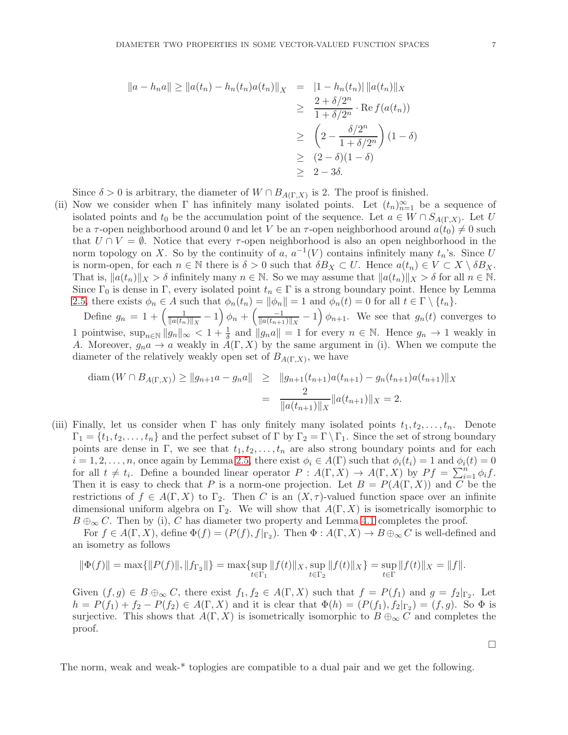$$
||a - h_n a|| \ge ||a(t_n) - h_n(t_n)a(t_n)||_X = |1 - h_n(t_n)||a(t_n)||_X
$$
  
\n
$$
\ge \frac{2 + \delta/2^n}{1 + \delta/2^n} \cdot \text{Re } f(a(t_n))
$$
  
\n
$$
\ge \left(2 - \frac{\delta/2^n}{1 + \delta/2^n}\right)(1 - \delta)
$$
  
\n
$$
\ge (2 - \delta)(1 - \delta)
$$
  
\n
$$
\ge 2 - 3\delta.
$$

Since  $\delta > 0$  is arbitrary, the diameter of  $W \cap B_{A(\Gamma,X)}$  is 2. The proof is finished.

(ii) Now we consider when  $\Gamma$  has infinitely many isolated points. Let  $(t_n)_{n=1}^{\infty}$  be a sequence of isolated points and  $t_0$  be the accumulation point of the sequence. Let  $a \in W \cap S_{A(\Gamma,X)}$ . Let U be a  $\tau$ -open neighborhood around 0 and let V be an  $\tau$ -open neighborhood around  $a(t_0) \neq 0$  such that  $U \cap V = \emptyset$ . Notice that every  $\tau$ -open neighborhood is also an open neighborhood in the norm topology on X. So by the continuity of a,  $a^{-1}(V)$  contains infinitely many  $t_n$ 's. Since U is norm-open, for each  $n \in \mathbb{N}$  there is  $\delta > 0$  such that  $\delta B_X \subset U$ . Hence  $a(t_n) \in V \subset X \setminus \delta B_X$ . That is,  $||a(t_n)||_X > \delta$  infinitely many  $n \in \mathbb{N}$ . So we may assume that  $||a(t_n)||_X > \delta$  for all  $n \in \mathbb{N}$ . Since  $\Gamma_0$  is dense in  $\Gamma$ , every isolated point  $t_n \in \Gamma$  is a strong boundary point. Hence by Lemma [2.5,](#page-4-0) there exists  $\phi_n \in A$  such that  $\phi_n(t_n) = ||\phi_n|| = 1$  and  $\phi_n(t) = 0$  for all  $t \in \Gamma \setminus \{t_n\}.$ 

Define  $g_n = 1 + \left(\frac{1}{\ln(t_n)}\right)$  $\frac{1}{\|a(t_n)\|_X} - 1\right)\phi_n + \left(\frac{-1}{\|a(t_{n+1})\|_X}\right)$  $\frac{-1}{\|a(t_{n+1})\|_X}-1$   $\phi_{n+1}$ . We see that  $g_n(t)$  converges to 1 pointwise,  $\sup_{n\in\mathbb{N}}||g_n||_{\infty} < 1+\frac{1}{\delta}$  and  $||g_na|| = 1$  for every  $n \in \mathbb{N}$ . Hence  $g_n \to 1$  weakly in A. Moreover,  $g_n a \to a$  weakly in  $A(\Gamma, X)$  by the same argument in (i). When we compute the diameter of the relatively weakly open set of  $B_{A(\Gamma,X)}$ , we have

$$
\text{diam}(W \cap B_{A(\Gamma,X)}) \ge ||g_{n+1}a - g_n a|| \ge ||g_{n+1}(t_{n+1})a(t_{n+1}) - g_n(t_{n+1})a(t_{n+1})||_X
$$
  
= 
$$
\frac{2}{||a(t_{n+1})||_X} ||a(t_{n+1})||_X = 2.
$$

(iii) Finally, let us consider when  $\Gamma$  has only finitely many isolated points  $t_1, t_2, \ldots, t_n$ . Denote  $\Gamma_1 = \{t_1, t_2, \ldots, t_n\}$  and the perfect subset of  $\Gamma$  by  $\Gamma_2 = \Gamma \backslash \Gamma_1$ . Since the set of strong boundary points are dense in Γ, we see that  $t_1, t_2, \ldots, t_n$  are also strong boundary points and for each  $i = 1, 2, \ldots, n$ , once again by Lemma [2.5,](#page-4-0) there exist  $\phi_i \in A(\Gamma)$  such that  $\phi_i(t_i) = 1$  and  $\phi_i(t) = 0$ for all  $t \neq t_i$ . Define a bounded linear operator  $P : A(\Gamma, X) \to A(\Gamma, X)$  by  $Pf = \sum_{i=1}^n \phi_i f$ . Then it is easy to check that P is a norm-one projection. Let  $B = P(A(\Gamma, X))$  and C be the restrictions of  $f \in A(\Gamma, X)$  to  $\Gamma_2$ . Then C is an  $(X, \tau)$ -valued function space over an infinite dimensional uniform algebra on  $\Gamma_2$ . We will show that  $A(\Gamma, X)$  is isometrically isomorphic to  $B \oplus_{\infty} C$ . Then by (i), C has diameter two property and Lemma [4.1](#page-5-0) completes the proof.

For  $f \in A(\Gamma, X)$ , define  $\Phi(f) = (P(f), f|_{\Gamma_2})$ . Then  $\Phi : A(\Gamma, X) \to B \oplus_{\infty} C$  is well-defined and an isometry as follows

$$
\|\Phi(f)\| = \max\{\|P(f)\|, \|f_{\Gamma_2}\|\} = \max\{\sup_{t \in \Gamma_1} \|f(t)\|_X, \sup_{t \in \Gamma_2} \|f(t)\|_X\} = \sup_{t \in \Gamma} \|f(t)\|_X = \|f\|.
$$

Given  $(f, g) \in B \oplus_{\infty} C$ , there exist  $f_1, f_2 \in A(\Gamma, X)$  such that  $f = P(f_1)$  and  $g = f_2|_{\Gamma_2}$ . Let  $h = P(f_1) + f_2 - P(f_2) \in A(\Gamma, X)$  and it is clear that  $\Phi(h) = (P(f_1), f_2|_{\Gamma_2}) = (f, g)$ . So  $\Phi$  is surjective. This shows that  $A(\Gamma, X)$  is isometrically isomorphic to  $B \oplus_{\infty} C$  and completes the proof.

 $\Box$ 

The norm, weak and weak-\* toplogies are compatible to a dual pair and we get the following.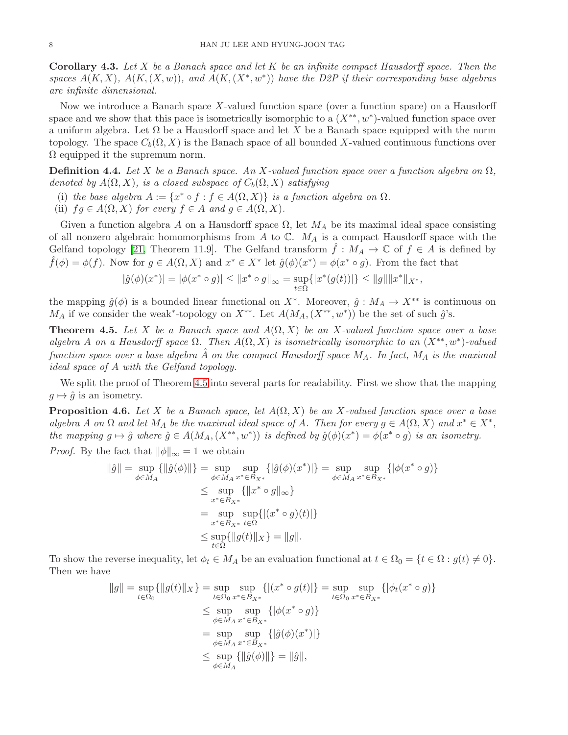**Corollary 4.3.** Let X be a Banach space and let K be an infinite compact Hausdorff space. Then the spaces  $A(K, X)$ ,  $A(K, (X, w))$ , and  $A(K, (X^*, w^*))$  have the D2P if their corresponding base algebras are infinite dimensional.

Now we introduce a Banach space X-valued function space (over a function space) on a Hausdorff space and we show that this pace is isometrically isomorphic to a  $(X^{**}, w^*)$ -valued function space over a uniform algebra. Let  $\Omega$  be a Hausdorff space and let X be a Banach space equipped with the norm topology. The space  $C_b(\Omega, X)$  is the Banach space of all bounded X-valued continuous functions over  $\Omega$  equipped it the supremum norm.

<span id="page-7-1"></span>**Definition 4.4.** Let X be a Banach space. An X-valued function space over a function algebra on  $\Omega$ , denoted by  $A(\Omega, X)$ , is a closed subspace of  $C_b(\Omega, X)$  satisfying

- (i) the base algebra  $A := \{x^* \circ f : f \in A(\Omega, X)\}\$ is a function algebra on  $\Omega$ .
- (ii)  $fg \in A(\Omega, X)$  for every  $f \in A$  and  $g \in A(\Omega, X)$ .

Given a function algebra A on a Hausdorff space  $\Omega$ , let  $M_A$  be its maximal ideal space consisting of all nonzero algebraic homomorphisms from A to  $\mathbb{C}$ .  $M_A$  is a compact Hausdorff space with the Gelfand topology [\[21,](#page-15-10) Theorem 11.9]. The Gelfand transform  $\ddot{f}: M_A \to \mathbb{C}$  of  $f \in A$  is defined by  $\hat{f}(\phi) = \phi(f)$ . Now for  $g \in A(\Omega, X)$  and  $x^* \in X^*$  let  $\hat{g}(\phi)(x^*) = \phi(x^* \circ g)$ . From the fact that

$$
|\hat{g}(\phi)(x^*)| = |\phi(x^* \circ g)| \le ||x^* \circ g||_{\infty} = \sup_{t \in \Omega} \{|x^*(g(t))|\} \le ||g|| ||x^*||_{X^*},
$$

the mapping  $\hat{g}(\phi)$  is a bounded linear functional on  $X^*$ . Moreover,  $\hat{g}: M_A \to X^{**}$  is continuous on  $M_A$  if we consider the weak<sup>\*</sup>-topology on  $X^{**}$ . Let  $A(M_A, (X^{**}, w^*))$  be the set of such  $\hat{g}$ 's.

<span id="page-7-0"></span>**Theorem 4.5.** Let X be a Banach space and  $A(\Omega, X)$  be an X-valued function space over a base algebra A on a Hausdorff space  $\Omega$ . Then  $A(\Omega, X)$  is isometrically isomorphic to an  $(X^{**}, w^*)$ -valued function space over a base algebra  $\hat{A}$  on the compact Hausdorff space  $M_A$ . In fact,  $M_A$  is the maximal ideal space of A with the Gelfand topology.

We split the proof of Theorem [4.5](#page-7-0) into several parts for readability. First we show that the mapping  $q \mapsto \hat{q}$  is an isometry.

**Proposition 4.6.** Let X be a Banach space, let  $A(\Omega, X)$  be an X-valued function space over a base algebra A on  $\Omega$  and let  $M_A$  be the maximal ideal space of A. Then for every  $g \in A(\Omega, X)$  and  $x^* \in X^*$ , the mapping  $g \mapsto \hat{g}$  where  $\hat{g} \in A(M_A, (X^{**}, w^*))$  is defined by  $\hat{g}(\phi)(x^*) = \phi(x^* \circ g)$  is an isometry.

*Proof.* By the fact that  $\|\phi\|_{\infty} = 1$  we obtain

$$
\|\hat{g}\| = \sup_{\phi \in M_A} \{ \|\hat{g}(\phi)\| \} = \sup_{\phi \in M_A} \sup_{x^* \in B_{X^*}} \{ |\hat{g}(\phi)(x^*)| \} = \sup_{\phi \in M_A} \sup_{x^* \in B_{X^*}} \{ |\phi(x^* \circ g) \} \n\le \sup_{x^* \in B_{X^*}} \{ \|x^* \circ g\|_{\infty} \} \n= \sup_{x^* \in B_{X^*}} \sup_{t \in \Omega} \{ |(x^* \circ g)(t)| \} \n\le \sup_{t \in \Omega} \{ \|g(t)\|_{X} \} = \|g\|.
$$

To show the reverse inequality, let  $\phi_t \in M_A$  be an evaluation functional at  $t \in \Omega_0 = \{t \in \Omega : g(t) \neq 0\}.$ Then we have

$$
||g|| = \sup_{t \in \Omega_0} \{ ||g(t)||_X \} = \sup_{t \in \Omega_0} \sup_{x^* \in B_{X^*}} \{ |(x^* \circ g(t))| \} = \sup_{t \in \Omega_0} \sup_{x^* \in B_{X^*}} \{ |\phi_t(x^* \circ g) \} \n\leq \sup_{\phi \in M_A} \sup_{x^* \in B_{X^*}} \{ |\phi(x^* \circ g) \} \n= \sup_{\phi \in M_A} \sup_{x^* \in B_{X^*}} \{ |\hat{g}(\phi)(x^*)| \} \n\leq \sup_{\phi \in M_A} \{ ||\hat{g}(\phi)|| \} = ||\hat{g}||,
$$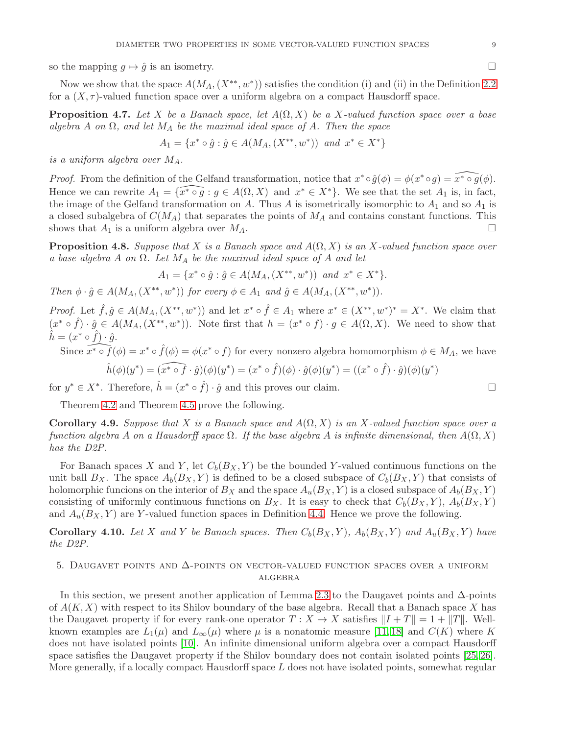so the mapping  $g \mapsto \hat{g}$  is an isometry.

Now we show that the space  $A(M_A,(X^{**},w^*))$  satisfies the condition (i) and (ii) in the Definition [2.2](#page-3-0) for a  $(X, \tau)$ -valued function space over a uniform algebra on a compact Hausdorff space.

**Proposition 4.7.** Let X be a Banach space, let  $A(\Omega, X)$  be a X-valued function space over a base algebra A on  $\Omega$ , and let  $M_A$  be the maximal ideal space of A. Then the space

$$
A_1 = \{ x^* \circ \hat{g} : \hat{g} \in A(M_A, (X^{**}, w^*)) \text{ and } x^* \in X^* \}
$$

is a uniform algebra over  $M_A$ .

*Proof.* From the definition of the Gelfand transformation, notice that  $x^* \circ \hat{g}(\phi) = \phi(x^* \circ g) = \widehat{x^* \circ g}(\phi)$ . Hence we can rewrite  $A_1 = \{x \cdot \infty g : g \in A(\Omega, X) \text{ and } x^* \in X^*\}.$  We see that the set  $A_1$  is, in fact, the image of the Gelfand transformation on A. Thus A is isometrically isomorphic to  $A_1$  and so  $A_1$  is a closed subalgebra of  $C(M_A)$  that separates the points of  $M_A$  and contains constant functions. This shows that  $A_1$  is a uniform algebra over  $M_A$ .

**Proposition 4.8.** Suppose that X is a Banach space and  $A(\Omega, X)$  is an X-valued function space over a base algebra A on  $\Omega$ . Let  $M_A$  be the maximal ideal space of A and let

$$
A_1 = \{ x^* \circ \hat{g} : \hat{g} \in A(M_A, (X^{**}, w^*)) \text{ and } x^* \in X^* \}.
$$

Then  $\phi \cdot \hat{g} \in A(M_A, (X^{**}, w^*))$  for every  $\phi \in A_1$  and  $\hat{g} \in A(M_A, (X^{**}, w^*))$ .

*Proof.* Let  $\hat{f}, \hat{g} \in A(M_A, (X^{**}, w^*))$  and let  $x^* \circ \hat{f} \in A_1$  where  $x^* \in (X^{**}, w^*)^* = X^*$ . We claim that  $(x^* \circ \hat{f}) \cdot \hat{g} \in A(M_A, (X^{**}, w^*))$ . Note first that  $h = (x^* \circ f) \cdot g \in A(\Omega, X)$ . We need to show that  $\hat{h} = (x^* \circ \hat{f}) \cdot \hat{g}.$ 

Since  $\widehat{x^* \circ f}(\phi) = x^* \circ \widehat{f}(\phi) = \phi(x^* \circ f)$  for every nonzero algebra homomorphism  $\phi \in M_A$ , we have  $\hat{h}(\phi)(y^*) = (\widehat{x^* \circ f} \cdot \hat{g})(\phi)(y^*) = (x^* \circ \hat{f})(\phi) \cdot \hat{g}(\phi)(y^*) = ((x^* \circ \hat{f}) \cdot \hat{g})(\phi)(y^*)$ 

for  $y^* \in X^*$ . Therefore,  $\hat{h} = (x^* \circ \hat{f}) \cdot \hat{g}$  and this proves our claim.

Theorem [4.2](#page-5-1) and Theorem [4.5](#page-7-0) prove the following.

**Corollary 4.9.** Suppose that X is a Banach space and  $A(\Omega, X)$  is an X-valued function space over a function algebra A on a Hausdorff space  $\Omega$ . If the base algebra A is infinite dimensional, then  $A(\Omega, X)$ has the D2P.

For Banach spaces X and Y, let  $C_b(B_X, Y)$  be the bounded Y-valued continuous functions on the unit ball  $B_X$ . The space  $A_b(B_X, Y)$  is defined to be a closed subspace of  $C_b(B_X, Y)$  that consists of holomorphic funcions on the interior of  $B_X$  and the space  $A_u(B_X, Y)$  is a closed subspace of  $A_b(B_X, Y)$ consisting of uniformly continuous functions on  $B_X$ . It is easy to check that  $C_b(B_X, Y)$ ,  $A_b(B_X, Y)$ and  $A_u(B_X, Y)$  are Y-valued function spaces in Definition [4.4.](#page-7-1) Hence we prove the following.

**Corollary 4.10.** Let X and Y be Banach spaces. Then  $C_b(B_X, Y)$ ,  $A_b(B_X, Y)$  and  $A_u(B_X, Y)$  have the D2P.

# 5. DAUGAVET POINTS AND  $\Delta$ -POINTS ON VECTOR-VALUED FUNCTION SPACES OVER A UNIFORM **ALGEBRA**

In this section, we present another application of Lemma [2.3](#page-3-2) to the Daugavet points and ∆-points of  $A(K, X)$  with respect to its Shilov boundary of the base algebra. Recall that a Banach space X has the Daugavet property if for every rank-one operator  $T : X \to X$  satisfies  $||I + T|| = 1 + ||T||$ . Wellknown examples are  $L_1(\mu)$  and  $L_\infty(\mu)$  where  $\mu$  is a nonatomic measure [\[11,](#page-15-11) [18\]](#page-15-12) and  $C(K)$  where K does not have isolated points [\[10\]](#page-15-13). An infinite dimensional uniform algebra over a compact Hausdorff space satisfies the Daugavet property if the Shilov boundary does not contain isolated points [\[25,](#page-15-14) [26\]](#page-15-15). More generally, if a locally compact Hausdorff space  $L$  does not have isolated points, somewhat regular

$$
\Box
$$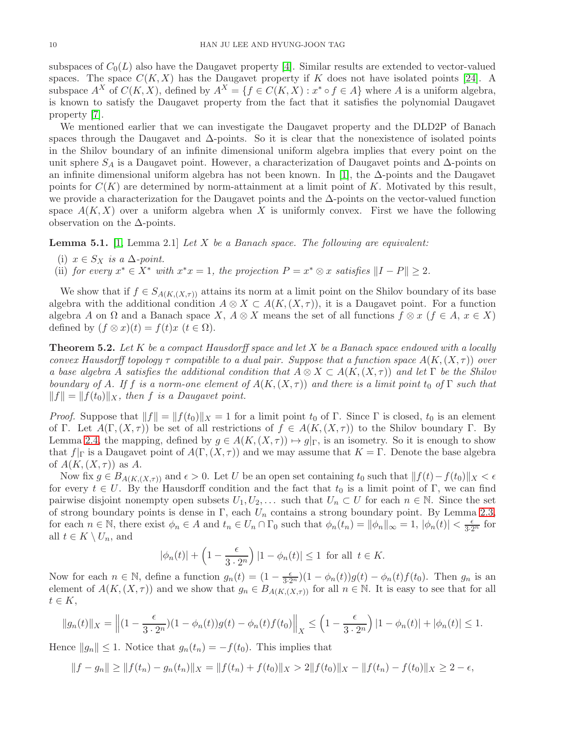subspaces of  $C_0(L)$  also have the Daugavet property [\[4\]](#page-14-1). Similar results are extended to vector-valued spaces. The space  $C(K, X)$  has the Daugavet property if K does not have isolated points [\[24\]](#page-15-5). A subspace  $A^X$  of  $C(K, X)$ , defined by  $A^X = \{f \in C(K, X) : x^* \circ f \in A\}$  where A is a uniform algebra, is known to satisfy the Daugavet property from the fact that it satisfies the polynomial Daugavet property [\[7\]](#page-14-6).

We mentioned earlier that we can investigate the Daugavet property and the DLD2P of Banach spaces through the Daugavet and  $\Delta$ -points. So it is clear that the nonexistence of isolated points in the Shilov boundary of an infinite dimensional uniform algebra implies that every point on the unit sphere  $S_A$  is a Daugavet point. However, a characterization of Daugavet points and  $\Delta$ -points on an infinite dimensional uniform algebra has not been known. In [\[1\]](#page-14-4), the  $\Delta$ -points and the Daugavet points for  $C(K)$  are determined by norm-attainment at a limit point of K. Motivated by this result, we provide a characterization for the Daugavet points and the  $\Delta$ -points on the vector-valued function space  $A(K, X)$  over a uniform algebra when X is uniformly convex. First we have the following observation on the  $\Delta$ -points.

<span id="page-9-1"></span>**Lemma 5.1.** [\[1,](#page-14-4) Lemma 2.1] Let X be a Banach space. The following are equivalent:

- (i)  $x \in S_X$  is a  $\Delta$ -point.
- (ii) for every  $x^* \in X^*$  with  $x^*x = 1$ , the projection  $P = x^* \otimes x$  satisfies  $||I P|| \ge 2$ .

We show that if  $f \in S_{A(K,(X,\tau))}$  attains its norm at a limit point on the Shilov boundary of its base algebra with the additional condition  $A \otimes X \subset A(K,(X,\tau))$ , it is a Daugavet point. For a function algebra A on  $\Omega$  and a Banach space X,  $A \otimes X$  means the set of all functions  $f \otimes x$  ( $f \in A$ ,  $x \in X$ ) defined by  $(f \otimes x)(t) = f(t)x$   $(t \in \Omega)$ .

<span id="page-9-0"></span>**Theorem 5.2.** Let K be a compact Hausdorff space and let X be a Banach space endowed with a locally convex Hausdorff topology  $\tau$  compatible to a dual pair. Suppose that a function space  $A(K,(X,\tau))$  over a base algebra A satisfies the additional condition that  $A \otimes X \subset A(K,(X,\tau))$  and let  $\Gamma$  be the Shilov boundary of A. If f is a norm-one element of  $A(K,(X,\tau))$  and there is a limit point to of  $\Gamma$  such that  $||f|| = ||f(t_0)||_X$ , then f is a Daugavet point.

*Proof.* Suppose that  $||f|| = ||f(t_0)||_X = 1$  for a limit point  $t_0$  of Γ. Since Γ is closed,  $t_0$  is an element of Γ. Let  $A(\Gamma,(X,\tau))$  be set of all restrictions of  $f \in A(K,(X,\tau))$  to the Shilov boundary Γ. By Lemma [2.4,](#page-3-1) the mapping, defined by  $g \in A(K, (X, \tau)) \mapsto g|_{\Gamma}$ , is an isometry. So it is enough to show that  $f|_{\Gamma}$  is a Daugavet point of  $A(\Gamma,(X,\tau))$  and we may assume that  $K=\Gamma$ . Denote the base algebra of  $A(K,(X,\tau))$  as A.

Now fix  $g \in B_{A(K,(X,\tau))}$  and  $\epsilon > 0$ . Let U be an open set containing t<sub>0</sub> such that  $|| f(t) - f(t_0)||_X < \epsilon$ for every  $t \in U$ . By the Hausdorff condition and the fact that  $t_0$  is a limit point of Γ, we can find pairwise disjoint nonempty open subsets  $U_1, U_2, \ldots$  such that  $U_n \subset U$  for each  $n \in \mathbb{N}$ . Since the set of strong boundary points is dense in Γ, each  $U_n$  contains a strong boundary point. By Lemma [2.3,](#page-3-2) for each  $n \in \mathbb{N}$ , there exist  $\phi_n \in A$  and  $t_n \in U_n \cap \Gamma_0$  such that  $\phi_n(t_n) = ||\phi_n||_{\infty} = 1$ ,  $|\phi_n(t)| < \frac{\epsilon}{3 \cdot 2^n}$  for all  $t \in K \setminus U_n$ , and

$$
|\phi_n(t)| + \left(1 - \frac{\epsilon}{3 \cdot 2^n}\right)|1 - \phi_n(t)| \le 1 \text{ for all } t \in K.
$$

Now for each  $n \in \mathbb{N}$ , define a function  $g_n(t) = \left(1 - \frac{\epsilon}{3 \cdot 2^n}\right)\left(1 - \phi_n(t)\right)g(t) - \phi_n(t)f(t_0)$ . Then  $g_n$  is an element of  $A(K,(X,\tau))$  and we show that  $g_n \in B_{A(K,(X,\tau))}$  for all  $n \in \mathbb{N}$ . It is easy to see that for all  $t \in K$ ,

$$
||g_n(t)||_X = \left\|(1 - \frac{\epsilon}{3 \cdot 2^n})(1 - \phi_n(t))g(t) - \phi_n(t)f(t_0)\right\|_X \le \left(1 - \frac{\epsilon}{3 \cdot 2^n}\right)|1 - \phi_n(t)| + |\phi_n(t)| \le 1.
$$

Hence  $||g_n|| \leq 1$ . Notice that  $g_n(t_n) = -f(t_0)$ . This implies that

$$
||f - g_n|| \ge ||f(t_n) - g_n(t_n)||_X = ||f(t_n) + f(t_0)||_X > 2||f(t_0)||_X - ||f(t_n) - f(t_0)||_X \ge 2 - \epsilon,
$$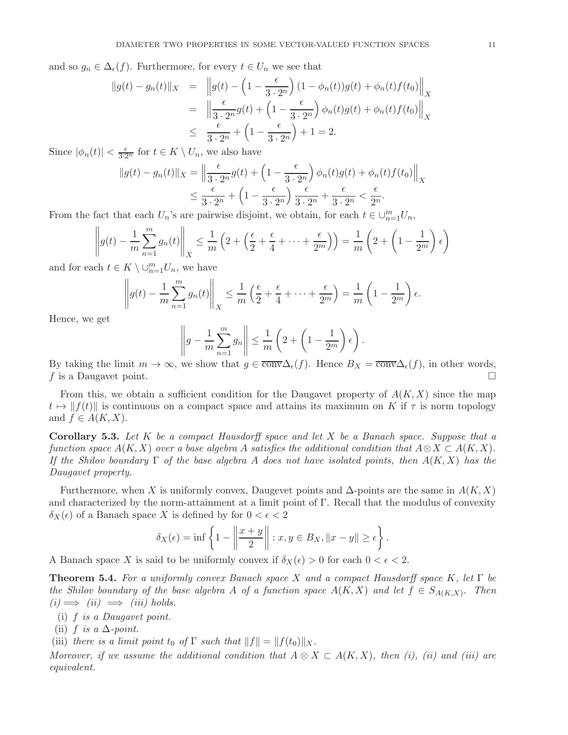and so  $g_n \in \Delta_{\epsilon}(f)$ . Furthermore, for every  $t \in U_n$  we see that

$$
\|g(t) - g_n(t)\|_X = \|g(t) - \left(1 - \frac{\epsilon}{3 \cdot 2^n}\right)(1 - \phi_n(t))g(t) + \phi_n(t)f(t_0)\|_X
$$
  
= 
$$
\left\|\frac{\epsilon}{3 \cdot 2^n}g(t) + \left(1 - \frac{\epsilon}{3 \cdot 2^n}\right)\phi_n(t)g(t) + \phi_n(t)f(t_0)\right\|_X
$$
  

$$
\leq \frac{\epsilon}{3 \cdot 2^n} + \left(1 - \frac{\epsilon}{3 \cdot 2^n}\right) + 1 = 2.
$$

Since  $|\phi_n(t)| < \frac{\epsilon}{3 \cdot 2^n}$  for  $t \in K \setminus U_n$ , we also have

$$
||g(t) - g_n(t)||_X = \left\| \frac{\epsilon}{3 \cdot 2^n} g(t) + \left( 1 - \frac{\epsilon}{3 \cdot 2^n} \right) \phi_n(t) g(t) + \phi_n(t) f(t_0) \right\|_X
$$
  
\n
$$
\leq \frac{\epsilon}{3 \cdot 2^n} + \left( 1 - \frac{\epsilon}{3 \cdot 2^n} \right) \frac{\epsilon}{3 \cdot 2^n} + \frac{\epsilon}{3 \cdot 2^n} < \frac{\epsilon}{2^n}.
$$

From the fact that each  $U_n$ 's are pairwise disjoint, we obtain, for each  $t \in \bigcup_{n=1}^m U_n$ ,

$$
\left\| g(t) - \frac{1}{m} \sum_{n=1}^{m} g_n(t) \right\|_X \le \frac{1}{m} \left( 2 + \left( \frac{\epsilon}{2} + \frac{\epsilon}{4} + \dots + \frac{\epsilon}{2^m} \right) \right) = \frac{1}{m} \left( 2 + \left( 1 - \frac{1}{2^m} \right) \epsilon \right)
$$

and for each  $t \in K \setminus \cup_{n=1}^m U_n$ , we have

$$
\left\|g(t)-\frac{1}{m}\sum_{n=1}^m g_n(t)\right\|_X \leq \frac{1}{m}\left(\frac{\epsilon}{2}+\frac{\epsilon}{4}+\cdots+\frac{\epsilon}{2^m}\right)=\frac{1}{m}\left(1-\frac{1}{2^m}\right)\epsilon.
$$

Hence, we get

$$
\left\| g - \frac{1}{m} \sum_{n=1}^{m} g_n \right\| \leq \frac{1}{m} \left( 2 + \left( 1 - \frac{1}{2^m} \right) \epsilon \right).
$$

By taking the limit  $m \to \infty$ , we show that  $g \in \overline{\text{conv}}\Delta_{\epsilon}(f)$ . Hence  $B_X = \overline{\text{conv}}\Delta_{\epsilon}(f)$ , in other words, f is a Daugavet point.

From this, we obtain a sufficient condition for the Daugavet property of  $A(K, X)$  since the map  $t \mapsto ||f(t)||$  is continuous on a compact space and attains its maximum on K if  $\tau$  is norm topology and  $f \in A(K, X)$ .

<span id="page-10-1"></span>**Corollary 5.3.** Let K be a compact Hausdorff space and let X be a Banach space. Suppose that a function space  $A(K, X)$  over a base algebra A satisfies the additional condition that  $A \otimes X \subset A(K, X)$ . If the Shilov boundary  $\Gamma$  of the base algebra A does not have isolated points, then  $A(K, X)$  has the Daugavet property.

Furthermore, when X is uniformly convex, Daugevet points and  $\Delta$ -points are the same in  $A(K, X)$ and characterized by the norm-attainment at a limit point of Γ. Recall that the modulus of convexity  $\delta_X(\epsilon)$  of a Banach space X is defined by for  $0 < \epsilon < 2$ 

$$
\delta_X(\epsilon) = \inf \left\{ 1 - \left\| \frac{x+y}{2} \right\| : x, y \in B_X, \|x-y\| \ge \epsilon \right\}.
$$

A Banach space X is said to be uniformly convex if  $\delta_X(\epsilon) > 0$  for each  $0 < \epsilon < 2$ .

<span id="page-10-0"></span>**Theorem 5.4.** For a uniformly convex Banach space X and a compact Hausdorff space K, let  $\Gamma$  be the Shilov boundary of the base algebra A of a function space  $A(K, X)$  and let  $f \in S_{A(K, X)}$ . Then  $(i) \Longrightarrow (ii) \Longrightarrow (iii) holds.$ 

(i) f is a Daugavet point.

(ii) f is a  $\Delta$ -point.

(iii) there is a limit point  $t_0$  of  $\Gamma$  such that  $||f|| = ||f(t_0)||_X$ .

Moreover, if we assume the additional condition that  $A \otimes X \subset A(K,X)$ , then (i), (ii) and (iii) are equivalent.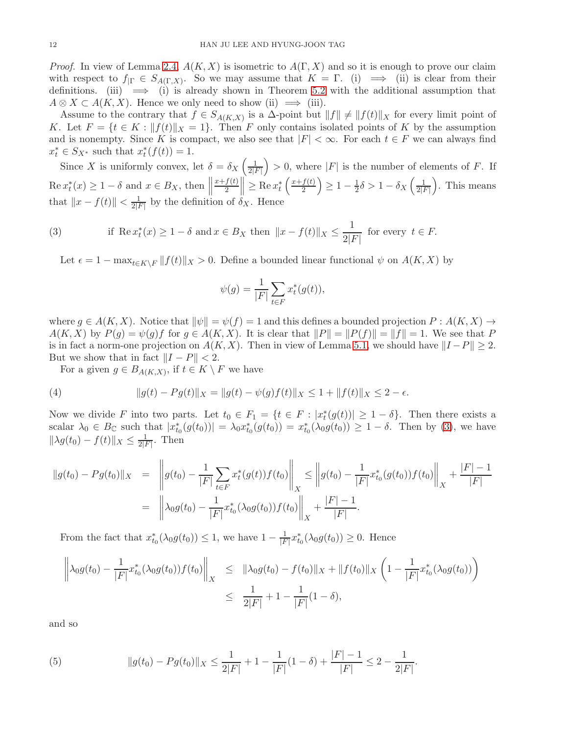*Proof.* In view of Lemma [2.4,](#page-3-1)  $A(K, X)$  is isometric to  $A(\Gamma, X)$  and so it is enough to prove our claim with respect to  $f_{\vert \Gamma} \in S_{A(\Gamma,X)}$ . So we may assume that  $K = \Gamma$ . (i)  $\implies$  (ii) is clear from their definitions. (iii)  $\implies$  (i) is already shown in Theorem [5.2](#page-9-0) with the additional assumption that  $A \otimes X \subset A(K, X)$ . Hence we only need to show (ii)  $\implies$  (iii).

Assume to the contrary that  $f \in S_{A(K,X)}$  is a  $\Delta$ -point but  $||f|| \neq ||f(t)||_X$  for every limit point of K. Let  $F = \{t \in K : ||f(t)||_X = 1\}$ . Then F only contains isolated points of K by the assumption and is nonempty. Since K is compact, we also see that  $|F| < \infty$ . For each  $t \in F$  we can always find  $x_t^* \in S_{X^*}$  such that  $x_t^*(f(t)) = 1$ .

Since X is uniformly convex, let  $\delta = \delta_X \left( \frac{1}{2l} \right)$  $\frac{1}{2|F|}$  > 0, where |F| is the number of elements of F. If  $\text{Re } x_t^*(x) \geq 1 - \delta \text{ and } x \in B_X, \text{ then } \Big\|$  $x+f(t)$  $\left|\frac{f(t)}{2}\right| \geq \text{Re } x_t^* \left(\frac{x+f(t)}{2}\right)$  $\frac{f(t)}{2}$   $\geq 1 - \frac{1}{2}$  $\frac{1}{2}\delta > 1 - \delta_X \left( \frac{1}{2|I|} \right)$  $\frac{1}{2|F|}$ . This means that  $||x - f(t)|| < \frac{1}{2|t|}$  $\frac{1}{2|F|}$  by the definition of  $\delta_X$ . Hence

(3) if 
$$
\operatorname{Re} x_t^*(x) \ge 1 - \delta
$$
 and  $x \in B_X$  then  $||x - f(t)||_X \le \frac{1}{2|F|}$  for every  $t \in F$ .

<span id="page-11-0"></span>Let  $\epsilon = 1 - \max_{t \in K \setminus F} ||f(t)||_X > 0$ . Define a bounded linear functional  $\psi$  on  $A(K, X)$  by

$$
\psi(g) = \frac{1}{|F|} \sum_{t \in F} x_t^*(g(t)),
$$

where  $g \in A(K, X)$ . Notice that  $\|\psi\| = \psi(f) = 1$  and this defines a bounded projection  $P : A(K, X) \to$  $A(K, X)$  by  $P(g) = \psi(g)f$  for  $g \in A(K, X)$ . It is clear that  $||P|| = ||P(f)|| = ||f|| = 1$ . We see that P is in fact a norm-one projection on  $A(K, X)$ . Then in view of Lemma [5.1,](#page-9-1) we should have  $||I - P|| \geq 2$ . But we show that in fact  $||I - P|| < 2$ .

<span id="page-11-1"></span>For a given  $g \in B_{A(K,X)}$ , if  $t \in K \setminus F$  we have

(4) 
$$
\|g(t) - Pg(t)\|_X = \|g(t) - \psi(g)f(t)\|_X \le 1 + \|f(t)\|_X \le 2 - \epsilon.
$$

Now we divide F into two parts. Let  $t_0 \in F_1 = \{t \in F : |x_t^*(g(t))| \geq 1 - \delta\}$ . Then there exists a scalar  $\lambda_0 \in B_{\mathbb{C}}$  such that  $|x_{t_0}^*(g(t_0))| = \lambda_0 x_{t_0}^*(g(t_0)) = x_{t_0}^*(\lambda_0 g(t_0)) \geq 1 - \delta$ . Then by [\(3\)](#page-11-0), we have  $\|\lambda g(t_0) - f(t)\|_X \leq \frac{1}{2|t|}$  $\frac{1}{2|F|}$ . Then

$$
||g(t_0) - Pg(t_0)||_X = \left\| g(t_0) - \frac{1}{|F|} \sum_{t \in F} x_t^*(g(t)) f(t_0) \right\|_X \le \left\| g(t_0) - \frac{1}{|F|} x_{t_0}^*(g(t_0)) f(t_0) \right\|_X + \frac{|F| - 1}{|F|}
$$
  
= 
$$
\left\| \lambda_0 g(t_0) - \frac{1}{|F|} x_{t_0}^*(\lambda_0 g(t_0)) f(t_0) \right\|_X + \frac{|F| - 1}{|F|}.
$$

From the fact that  $x_{t_0}^*(\lambda_0 g(t_0)) \leq 1$ , we have  $1 - \frac{1}{|F|}$  $\frac{1}{|F|}x_{t_0}^*(\lambda_0 g(t_0)) \geq 0$ . Hence

$$
\left\| \lambda_0 g(t_0) - \frac{1}{|F|} x_{t_0}^* (\lambda_0 g(t_0)) f(t_0) \right\|_X \leq \| \lambda_0 g(t_0) - f(t_0) \|_X + \| f(t_0) \|_X \left( 1 - \frac{1}{|F|} x_{t_0}^* (\lambda_0 g(t_0)) \right) \leq \frac{1}{2|F|} + 1 - \frac{1}{|F|} (1 - \delta),
$$

and so

<span id="page-11-2"></span>(5) 
$$
||g(t_0) - Pg(t_0)||_X \le \frac{1}{2|F|} + 1 - \frac{1}{|F|}(1 - \delta) + \frac{|F| - 1}{|F|} \le 2 - \frac{1}{2|F|}.
$$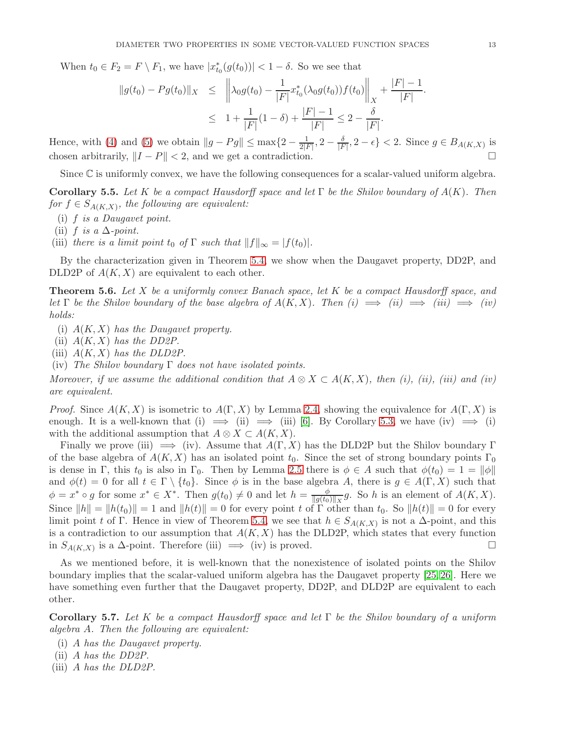When  $t_0 \in F_2 = F \setminus F_1$ , we have  $|x_{t_0}^*(g(t_0))| < 1 - \delta$ . So we see that

$$
||g(t_0) - Pg(t_0)||_X \le ||\lambda_0 g(t_0) - \frac{1}{|F|} x_{t_0}^* (\lambda_0 g(t_0)) f(t_0)||_X + \frac{|F| - 1}{|F|}.
$$
  

$$
\le 1 + \frac{1}{|F|} (1 - \delta) + \frac{|F| - 1}{|F|} \le 2 - \frac{\delta}{|F|}.
$$

Hence, with [\(4\)](#page-11-1) and [\(5\)](#page-11-2) we obtain  $||g - Pg|| \le \max\{2 - \frac{1}{2l}\}$  $\frac{1}{2|F|}, 2-\frac{\delta}{|F|}$  $\frac{\delta}{|F|}, 2-\epsilon$  < 2. Since  $g \in B_{A(K,X)}$  is chosen arbitrarily,  $||I - P|| < 2$ , and we get a contradiction.

Since  $\mathbb C$  is uniformly convex, we have the following consequences for a scalar-valued uniform algebra.

**Corollary 5.5.** Let K be a compact Hausdorff space and let  $\Gamma$  be the Shilov boundary of  $A(K)$ . Then for  $f \in S_{A(K,X)}$ , the following are equivalent:

- (i) f is a Daugavet point.
- (ii) f is a  $\Delta$ -point.
- (iii) there is a limit point t<sub>0</sub> of  $\Gamma$  such that  $||f||_{\infty} = |f(t_0)|$ .

By the characterization given in Theorem [5.4,](#page-10-0) we show when the Daugavet property, DD2P, and DLD2P of  $A(K, X)$  are equivalent to each other.

**Theorem 5.6.** Let X be a uniformly convex Banach space, let K be a compact Hausdorff space, and let  $\Gamma$  be the Shilov boundary of the base algebra of  $A(K,X)$ . Then  $(i) \implies (ii) \implies (iii) \implies (iv)$ holds:

- (i)  $A(K, X)$  has the Daugavet property.
- (ii)  $A(K, X)$  has the DD2P.
- (iii)  $A(K, X)$  has the DLD2P.
- (iv) The Shilov boundary  $\Gamma$  does not have isolated points.

Moreover, if we assume the additional condition that  $A \otimes X \subset A(K,X)$ , then (i), (ii), (iii) and (iv) are equivalent.

*Proof.* Since  $A(K, X)$  is isometric to  $A(\Gamma, X)$  by Lemma [2.4,](#page-3-1) showing the equivalence for  $A(\Gamma, X)$  is enough. It is a well-known that (i)  $\implies$  (ii)  $\implies$  (iii) [\[6\]](#page-14-5). By Corollary [5.3,](#page-10-1) we have (iv)  $\implies$  (i) with the additional assumption that  $A \otimes X \subset A(K, X)$ .

Finally we prove (iii)  $\implies$  (iv). Assume that  $A(\Gamma, X)$  has the DLD2P but the Shilov boundary  $\Gamma$ of the base algebra of  $A(K, X)$  has an isolated point  $t_0$ . Since the set of strong boundary points  $\Gamma_0$ is dense in Γ, this  $t_0$  is also in Γ<sub>0</sub>. Then by Lemma [2.5](#page-4-0) there is  $\phi \in A$  such that  $\phi(t_0) = 1 = ||\phi||$ and  $\phi(t) = 0$  for all  $t \in \Gamma \setminus \{t_0\}$ . Since  $\phi$  is in the base algebra A, there is  $g \in A(\Gamma, X)$  such that  $\phi = x^* \circ g$  for some  $x^* \in X^*$ . Then  $g(t_0) \neq 0$  and let  $h = \frac{\phi}{\ln(t_0)}$  $\frac{\varphi}{\|g(t_0)\|_X}g$ . So h is an element of  $A(K, X)$ . Since  $||h|| = ||h(t_0)|| = 1$  and  $||h(t)|| = 0$  for every point t of  $\Gamma$  other than  $t_0$ . So  $||h(t)|| = 0$  for every limit point t of Γ. Hence in view of Theorem [5.4,](#page-10-0) we see that  $h \in S_{A(K,X)}$  is not a  $\Delta$ -point, and this is a contradiction to our assumption that  $A(K, X)$  has the DLD2P, which states that every function in  $S_{A(K,X)}$  is a ∆-point. Therefore (iii)  $\implies$  (iv) is proved.  $\Box$ 

As we mentioned before, it is well-known that the nonexistence of isolated points on the Shilov boundary implies that the scalar-valued uniform algebra has the Daugavet property [\[25,](#page-15-14) [26\]](#page-15-15). Here we have something even further that the Daugavet property, DD2P, and DLD2P are equivalent to each other.

<span id="page-12-0"></span>**Corollary 5.7.** Let K be a compact Hausdorff space and let  $\Gamma$  be the Shilov boundary of a uniform algebra A. Then the following are equivalent:

- (i) A has the Daugavet property.
- (ii) A has the DD2P.
- (iii) A has the DLD2P.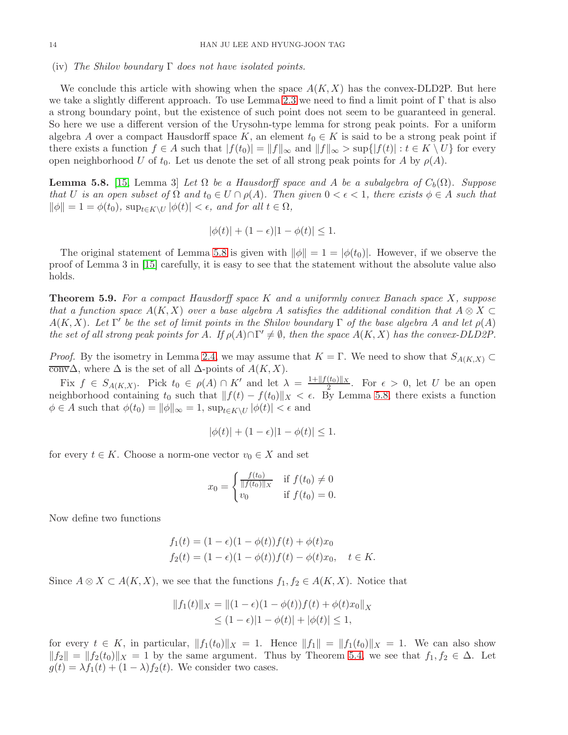## (iv) The Shilov boundary  $\Gamma$  does not have isolated points.

We conclude this article with showing when the space  $A(K, X)$  has the convex-DLD2P. But here we take a slightly different approach. To use Lemma [2.3](#page-3-2) we need to find a limit point of  $\Gamma$  that is also a strong boundary point, but the existence of such point does not seem to be guaranteed in general. So here we use a different version of the Urysohn-type lemma for strong peak points. For a uniform algebra A over a compact Hausdorff space K, an element  $t_0 \in K$  is said to be a strong peak point if there exists a function  $f \in A$  such that  $|f(t_0)| = ||f||_{\infty}$  and  $||f||_{\infty} > \sup\{|f(t)| : t \in K \setminus U\}$  for every open neighborhood U of  $t_0$ . Let us denote the set of all strong peak points for A by  $\rho(A)$ .

<span id="page-13-0"></span>**Lemma 5.8.** [\[15,](#page-15-16) Lemma 3] Let  $\Omega$  be a Hausdorff space and A be a subalgebra of  $C_b(\Omega)$ . Suppose that U is an open subset of  $\Omega$  and  $t_0 \in U \cap \rho(A)$ . Then given  $0 < \epsilon < 1$ , there exists  $\phi \in A$  such that  $\|\phi\| = 1 = \phi(t_0)$ ,  $\sup_{t \in K \setminus U} |\phi(t)| < \epsilon$ , and for all  $t \in \Omega$ ,

$$
|\phi(t)| + (1 - \epsilon)|1 - \phi(t)| \le 1.
$$

The original statement of Lemma [5.8](#page-13-0) is given with  $\|\phi\| = 1 = |\phi(t_0)|$ . However, if we observe the proof of Lemma 3 in [\[15\]](#page-15-16) carefully, it is easy to see that the statement without the absolute value also holds.

**Theorem 5.9.** For a compact Hausdorff space K and a uniformly convex Banach space X, suppose that a function space  $A(K, X)$  over a base algebra A satisfies the additional condition that  $A \otimes X \subset$  $A(K, X)$ . Let  $\Gamma'$  be the set of limit points in the Shilov boundary  $\Gamma$  of the base algebra A and let  $\rho(A)$ the set of all strong peak points for A. If  $\rho(A) \cap \Gamma' \neq \emptyset$ , then the space  $A(K, X)$  has the convex-DLD2P.

*Proof.* By the isometry in Lemma [2.4,](#page-3-1) we may assume that  $K = \Gamma$ . We need to show that  $S_{A(K,X)} \subset$  $\overline{\text{conv}}\Delta$ , where  $\Delta$  is the set of all  $\Delta$ -points of  $A(K, X)$ .

Fix  $f \in S_{A(K,X)}$ . Pick  $t_0 \in \rho(A) \cap K'$  and let  $\lambda = \frac{1 + ||f(t_0)||_X}{2}$  $\frac{(l_0)|X|}{2}$ . For  $\epsilon > 0$ , let U be an open neighborhood containing t<sub>0</sub> such that  $|| f(t) - f(t_0)||_X < \epsilon$ . By Lemma [5.8,](#page-13-0) there exists a function  $\phi \in A$  such that  $\phi(t_0) = ||\phi||_{\infty} = 1$ ,  $\sup_{t \in K \setminus U} |\phi(t)| < \epsilon$  and

$$
|\phi(t)| + (1 - \epsilon)|1 - \phi(t)| \le 1.
$$

for every  $t \in K$ . Choose a norm-one vector  $v_0 \in X$  and set

$$
x_0 = \begin{cases} \frac{f(t_0)}{\|f(t_0)\|_X} & \text{if } f(t_0) \neq 0\\ v_0 & \text{if } f(t_0) = 0. \end{cases}
$$

Now define two functions

$$
f_1(t) = (1 - \epsilon)(1 - \phi(t))f(t) + \phi(t)x_0
$$
  
\n
$$
f_2(t) = (1 - \epsilon)(1 - \phi(t))f(t) - \phi(t)x_0, \quad t \in K.
$$

Since  $A \otimes X \subset A(K, X)$ , we see that the functions  $f_1, f_2 \in A(K, X)$ . Notice that

$$
||f_1(t)||_X = ||(1 - \epsilon)(1 - \phi(t))f(t) + \phi(t)x_0||_X
$$
  
\n
$$
\leq (1 - \epsilon)|1 - \phi(t)| + |\phi(t)| \leq 1,
$$

for every  $t \in K$ , in particular,  $||f_1(t_0)||_X = 1$ . Hence  $||f_1|| = ||f_1(t_0)||_X = 1$ . We can also show  $||f_2|| = ||f_2(t_0)||_X = 1$  by the same argument. Thus by Theorem [5.4,](#page-10-0) we see that  $f_1, f_2 \in \Delta$ . Let  $g(t) = \lambda f_1(t) + (1 - \lambda)f_2(t)$ . We consider two cases.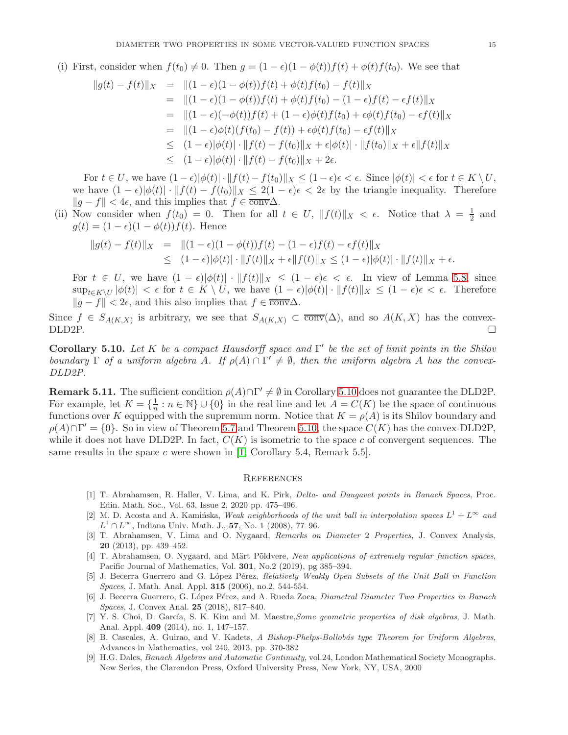(i) First, consider when  $f(t_0) \neq 0$ . Then  $g = (1 - \epsilon)(1 - \phi(t))f(t) + \phi(t)f(t_0)$ . We see that

$$
||g(t) - f(t)||_X = ||(1 - \epsilon)(1 - \phi(t))f(t) + \phi(t)f(t_0) - f(t)||_X
$$
  
\n
$$
= ||(1 - \epsilon)(1 - \phi(t))f(t) + \phi(t)f(t_0) - (1 - \epsilon)f(t) - \epsilon f(t)||_X
$$
  
\n
$$
= ||(1 - \epsilon)(-\phi(t))f(t) + (1 - \epsilon)\phi(t)f(t_0) + \epsilon\phi(t)f(t_0) - \epsilon f(t)||_X
$$
  
\n
$$
= ||(1 - \epsilon)\phi(t)(f(t_0) - f(t)) + \epsilon\phi(t)f(t_0) - \epsilon f(t)||_X
$$
  
\n
$$
\leq (1 - \epsilon)|\phi(t)| \cdot ||f(t) - f(t_0)||_X + \epsilon|\phi(t)| \cdot ||f(t_0)||_X + \epsilon||f(t)||_X
$$
  
\n
$$
\leq (1 - \epsilon)|\phi(t)| \cdot ||f(t) - f(t_0)||_X + 2\epsilon.
$$

For  $t \in U$ , we have  $(1 - \epsilon)|\phi(t)| \cdot ||f(t) - f(t_0)||_X \le (1 - \epsilon)\epsilon < \epsilon$ . Since  $|\phi(t)| < \epsilon$  for  $t \in K \setminus U$ , we have  $(1 - \epsilon)|\phi(t)| \cdot ||f(t) - f(t_0)||_X \leq 2(1 - \epsilon)\epsilon < 2\epsilon$  by the triangle inequality. Therefore  $||g - f|| < 4\epsilon$ , and this implies that  $f \in \overline{\text{conv}}\Delta$ .

(ii) Now consider when  $f(t_0) = 0$ . Then for all  $t \in U$ ,  $||f(t)||_X < \epsilon$ . Notice that  $\lambda = \frac{1}{2}$  $rac{1}{2}$  and  $g(t) = (1 - \epsilon)(1 - \phi(t))f(t)$ . Hence

$$
||g(t) - f(t)||_X = ||(1 - \epsilon)(1 - \phi(t))f(t) - (1 - \epsilon)f(t) - \epsilon f(t)||_X
$$
  
 
$$
\leq (1 - \epsilon)|\phi(t)| \cdot ||f(t)||_X + \epsilon ||f(t)||_X \leq (1 - \epsilon)|\phi(t)| \cdot ||f(t)||_X + \epsilon.
$$

For  $t \in U$ , we have  $(1 - \epsilon)|\phi(t)| \cdot ||f(t)||_X \leq (1 - \epsilon)\epsilon < \epsilon$ . In view of Lemma [5.8,](#page-13-0) since  $\sup_{t\in K\setminus U}|\phi(t)| < \epsilon$  for  $t \in K\setminus U$ , we have  $(1-\epsilon)|\phi(t)|\cdot ||f(t)||_X \leq (1-\epsilon)\epsilon < \epsilon$ . Therefore  $||g - f|| < 2\epsilon$ , and this also implies that  $f \in \overline{\text{conv}}\Delta$ .

Since  $f \in S_{A(K,X)}$  is arbitrary, we see that  $S_{A(K,X)} \subset \overline{conv}(\Delta)$ , and so  $A(K,X)$  has the convex- $\Box$ DLD2P.  $\Box$ 

<span id="page-14-9"></span>Corollary 5.10. Let K be a compact Hausdorff space and  $\Gamma'$  be the set of limit points in the Shilov boundary  $\Gamma$  of a uniform algebra A. If  $\rho(A) \cap \Gamma' \neq \emptyset$ , then the uniform algebra A has the convex-DLD2P.

**Remark 5.11.** The sufficient condition  $\rho(A) \cap \Gamma' \neq \emptyset$  in Corollary [5.10](#page-14-9) does not guarantee the DLD2P. For example, let  $K = \{\frac{1}{n}\}$  $\frac{1}{n}$ :  $n \in \mathbb{N}$   $\cup$  {0} in the real line and let  $A = C(K)$  be the space of continuous functions over K equipped with the supremum norm. Notice that  $K = \rho(A)$  is its Shilov boundary and  $\rho(A) \cap \Gamma' = \{0\}$ . So in view of Theorem [5.7](#page-12-0) and Theorem [5.10,](#page-14-9) the space  $C(K)$  has the convex-DLD2P, while it does not have DLD2P. In fact,  $C(K)$  is isometric to the space c of convergent sequences. The same results in the space  $c$  were shown in [\[1,](#page-14-4) Corollary 5.4, Remark 5.5].

#### **REFERENCES**

- <span id="page-14-4"></span>[1] T. Abrahamsen, R. Haller, V. Lima, and K. Pirk, Delta- and Daugavet points in Banach Spaces, Proc. Edin. Math. Soc., Vol. 63, Issue 2, 2020 pp. 475–496.
- <span id="page-14-2"></span>[2] M. D. Acosta and A. Kamińska, Weak neighborhoods of the unit ball in interpolation spaces  $L^1 + L^{\infty}$  and  $L^1 \cap L^\infty$ , Indiana Univ. Math. J., 57, No. 1 (2008), 77–96.
- <span id="page-14-0"></span>[3] T. Abrahamsen, V. Lima and O. Nygaard, Remarks on Diameter 2 Properties, J. Convex Analysis, 20 (2013), pp. 439–452.
- <span id="page-14-1"></span>[4] T. Abrahamsen, O. Nygaard, and Märt Põldvere, New applications of extremely regular function spaces, Pacific Journal of Mathematics, Vol. 301, No.2 (2019), pg 385–394.
- <span id="page-14-3"></span>[5] J. Becerra Guerrero and G. López Pérez, Relatively Weakly Open Subsets of the Unit Ball in Function Spaces, J. Math. Anal. Appl. **315** (2006), no.2, 544-554.
- <span id="page-14-5"></span>[6] J. Becerra Guerrero, G. López Pérez, and A. Rueda Zoca, *Diametral Diameter Two Properties in Banach* Spaces, J. Convex Anal. **25** (2018), 817-840.
- <span id="page-14-6"></span>[7] Y. S. Choi, D. García, S. K. Kim and M. Maestre, Some geometric properties of disk algebras, J. Math. Anal. Appl. 409 (2014), no. 1, 147–157.
- <span id="page-14-8"></span>[8] B. Cascales, A. Guirao, and V. Kadets, A Bishop-Phelps-Bollobás type Theorem for Uniform Algebras, Advances in Mathematics, vol 240, 2013, pp. 370-382
- <span id="page-14-7"></span>[9] H.G. Dales, Banach Algebras and Automatic Continuity, vol.24, London Mathematical Society Monographs. New Series, the Clarendon Press, Oxford University Press, New York, NY, USA, 2000